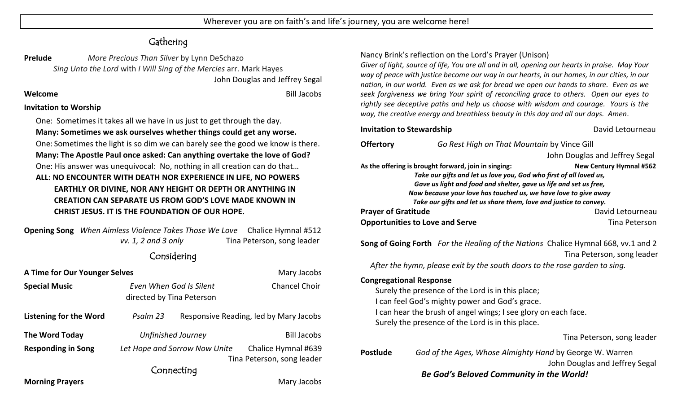# Gathering

**Prelude** *More Precious Than Silver* by Lynn DeSchazo *Sing Unto the Lord* with *I Will Sing of the Mercies* arr. Mark Hayes John Douglas and Jeffrey Segal

#### **Welcome** Bill Jacobs

#### **Invitation to Worship**

One: Sometimes it takes all we have in us just to get through the day. **Many: Sometimes we ask ourselves whether things could get any worse.** One: Sometimes the light is so dim we can barely see the good we know is there. **Many: The Apostle Paul once asked: Can anything overtake the love of God?**  One: His answer was unequivocal: No, nothing in all creation can do that… **ALL: NO ENCOUNTER WITH DEATH NOR EXPERIENCE IN LIFE, NO POWERS EARTHLY OR DIVINE, NOR ANY HEIGHT OR DEPTH OR ANYTHING IN CREATION CAN SEPARATE US FROM GOD'S LOVE MADE KNOWN IN CHRIST JESUS. IT IS THE FOUNDATION OF OUR HOPE.**

**Opening Song** *When Aimless Violence Takes Those We Love* Chalice Hymnal #512 *vv. 1, 2 and 3 only* Tina Peterson, song leader

# Considering

| A Time for Our Younger Selves |                                                      |  | Mary Jacobs                                       |
|-------------------------------|------------------------------------------------------|--|---------------------------------------------------|
| <b>Special Music</b>          | Even When God Is Silent<br>directed by Tina Peterson |  | <b>Chancel Choir</b>                              |
| <b>Listening for the Word</b> | Psalm 23                                             |  | Responsive Reading, led by Mary Jacobs            |
| The Word Today                | <b>Unfinished Journey</b>                            |  | <b>Bill Jacobs</b>                                |
| <b>Responding in Song</b>     | Let Hope and Sorrow Now Unite                        |  | Chalice Hymnal #639<br>Tina Peterson, song leader |
|                               | Connecting                                           |  |                                                   |
| <b>Morning Prayers</b>        |                                                      |  | Mary Jacobs                                       |

### Nancy Brink's reflection on the Lord's Prayer (Unison)

*Giver of light, source of life, You are all and in all, opening our hearts in praise. May Your way of peace with justice become our way in our hearts, in our homes, in our cities, in our nation, in our world. Even as we ask for bread we open our hands to share. Even as we seek forgiveness we bring Your spirit of reconciling grace to others. Open our eyes to rightly see deceptive paths and help us choose with wisdom and courage. Yours is the way, the creative energy and breathless beauty in this day and all our days. Amen*.

### **Invitation to Stewardship** *David Letourneau* **Offertory** *Go Rest High on That Mountain* by Vince Gill John Douglas and Jeffrey Segal As the offering is brought forward, join in singing: New Century Hymnal #562 *Take our gifts and let us love you, God who first of all loved us, Gave us light and food and shelter, gave us life and set us free, Now because your love has touched us, we have love to give away Take our gifts and let us share them, love and justice to convey.* **Prayer of Gratitude** David Letourneau **Opportunities to Love and Serve Tina Peterson**

**Song of Going Forth** *For the Healing of the Nations* Chalice Hymnal 668, vv.1 and 2 Tina Peterson, song leader

 *After the hymn, please exit by the south doors to the rose garden to sing.*

### **Congregational Response**

Surely the presence of the Lord is in this place; I can feel God's mighty power and God's grace. I can hear the brush of angel wings; I see glory on each face. Surely the presence of the Lord is in this place.

Tina Peterson, song leader

| Postlude |  | God of the Ages, Whose Almighty Hand by George W. Warren |  |
|----------|--|----------------------------------------------------------|--|
|----------|--|----------------------------------------------------------|--|

John Douglas and Jeffrey Segal

## *Be God's Beloved Community in the World!*